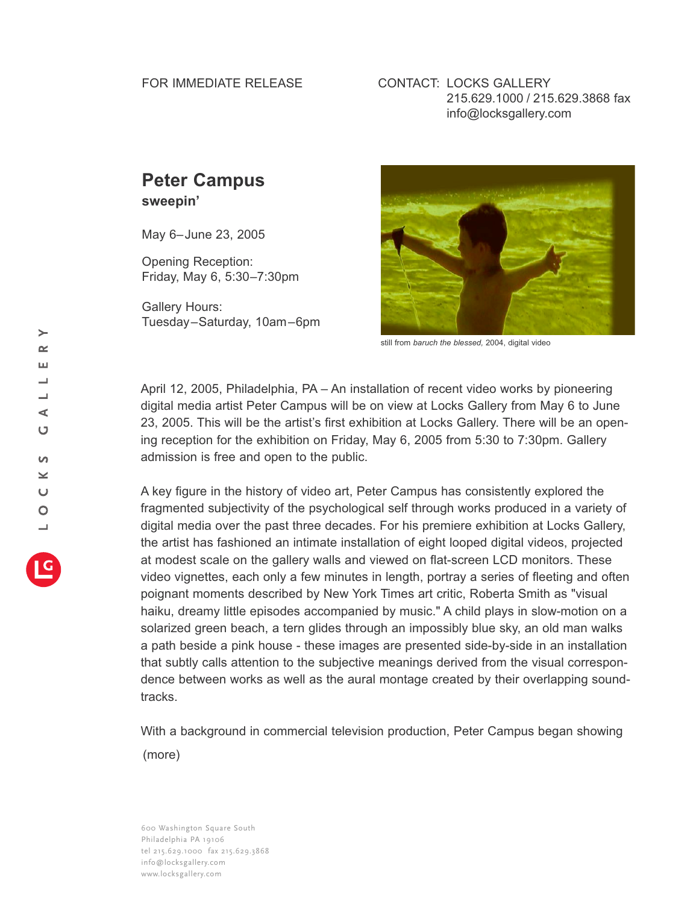## FOR IMMEDIATE RELEASE

## CONTACT: LOCKS GALLERY 215.629.1000 / 215.629.3868 fax info@locksgallery.com

## **Peter Campus**

**sweepin'**

May 6–June 23, 2005

Opening Reception: Friday, May 6, 5:30–7:30pm

Gallery Hours: Tuesday–Saturday, 10am–6pm



still from *baruch the blessed,* 2004, digital video

April 12, 2005, Philadelphia, PA – An installation of recent video works by pioneering digital media artist Peter Campus will be on view at Locks Gallery from May 6 to June 23, 2005. This will be the artist's first exhibition at Locks Gallery. There will be an opening reception for the exhibition on Friday, May 6, 2005 from 5:30 to 7:30pm. Gallery admission is free and open to the public.

A key figure in the history of video art, Peter Campus has consistently explored the fragmented subjectivity of the psychological self through works produced in a variety of digital media over the past three decades. For his premiere exhibition at Locks Gallery, the artist has fashioned an intimate installation of eight looped digital videos, projected at modest scale on the gallery walls and viewed on flat-screen LCD monitors. These video vignettes, each only a few minutes in length, portray a series of fleeting and often poignant moments described by New York Times art critic, Roberta Smith as "visual haiku, dreamy little episodes accompanied by music." A child plays in slow-motion on a solarized green beach, a tern glides through an impossibly blue sky, an old man walks a path beside a pink house - these images are presented side-by-side in an installation that subtly calls attention to the subjective meanings derived from the visual correspondence between works as well as the aural montage created by their overlapping soundtracks.

With a background in commercial television production, Peter Campus began showing (more)

600 Washington Square South Philadelphia PA 19106 tel 215.629.1000 fax 215.629.3868 info@locksgallery.com www.locksgallery.com